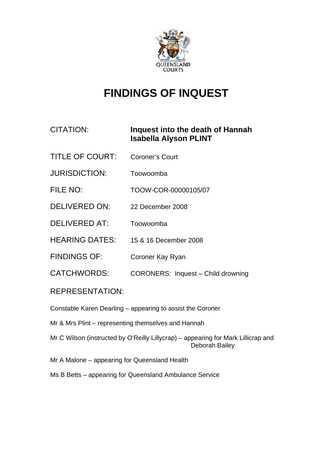

# **FINDINGS OF INQUEST**

# CITATION: **Inquest into the death of Hannah Isabella Alyson PLINT**

- TITLE OF COURT: Coroner's Court
- JURISDICTION: Toowoomba
- FILE NO: TOOW-COR-00000105/07
- DELIVERED ON: 22 December 2008
- DELIVERED AT: Toowoomba
- HEARING DATES: 15 & 16 December 2008
- FINDINGS OF: Coroner Kay Ryan
- CATCHWORDS: CORONERS: Inquest Child drowning

# REPRESENTATION:

Constable Karen Dearling – appearing to assist the Coroner

- Mr & Mrs Plint representing themselves and Hannah
- Mr C Wilson (instructed by O'Reilly Lillycrap) appearing for Mark Lillicrap and Deborah Bailey
- Mr A Malone appearing for Queensland Health
- Ms B Betts appearing for Queensland Ambulance Service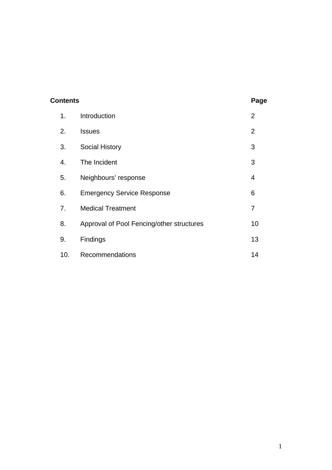| <b>Contents</b> |     |                                           | Page           |
|-----------------|-----|-------------------------------------------|----------------|
|                 | 1.  | Introduction                              | $\overline{2}$ |
|                 | 2.  | <b>Issues</b>                             | $\overline{2}$ |
|                 | 3.  | <b>Social History</b>                     | 3              |
|                 | 4.  | The Incident                              | 3              |
|                 | 5.  | Neighbours' response                      | 4              |
|                 | 6.  | <b>Emergency Service Response</b>         | 6              |
|                 | 7.  | <b>Medical Treatment</b>                  | 7              |
|                 | 8.  | Approval of Pool Fencing/other structures | 10             |
|                 | 9.  | Findings                                  | 13             |
|                 | 10. | Recommendations                           | 14             |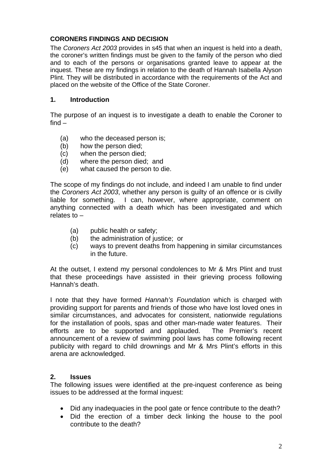# **CORONERS FINDINGS AND DECISION**

The *Coroners Act 2003* provides in s45 that when an inquest is held into a death, the coroner's written findings must be given to the family of the person who died and to each of the persons or organisations granted leave to appear at the inquest. These are my findings in relation to the death of Hannah Isabella Alyson Plint. They will be distributed in accordance with the requirements of the Act and placed on the website of the Office of the State Coroner.

#### **1. Introduction**

The purpose of an inquest is to investigate a death to enable the Coroner to find –

- (a) who the deceased person is;
- (b) how the person died;
- (c) when the person died;
- (d) where the person died; and
- (e) what caused the person to die.

The scope of my findings do not include, and indeed I am unable to find under the *Coroners Act 2003*, whether any person is guilty of an offence or is civilly liable for something. I can, however, where appropriate, comment on anything connected with a death which has been investigated and which relates to –

- (a) public health or safety;
- (b) the administration of justice; or
- (c) ways to prevent deaths from happening in similar circumstances in the future.

At the outset, I extend my personal condolences to Mr & Mrs Plint and trust that these proceedings have assisted in their grieving process following Hannah's death.

I note that they have formed *Hannah's Foundation* which is charged with providing support for parents and friends of those who have lost loved ones in similar circumstances, and advocates for consistent, nationwide regulations for the installation of pools, spas and other man-made water features. Their efforts are to be supported and applauded. The Premier's recent announcement of a review of swimming pool laws has come following recent publicity with regard to child drownings and Mr & Mrs Plint's efforts in this arena are acknowledged.

#### **2. Issues**

The following issues were identified at the pre-inquest conference as being issues to be addressed at the formal inquest:

- Did any inadequacies in the pool gate or fence contribute to the death?
- Did the erection of a timber deck linking the house to the pool contribute to the death?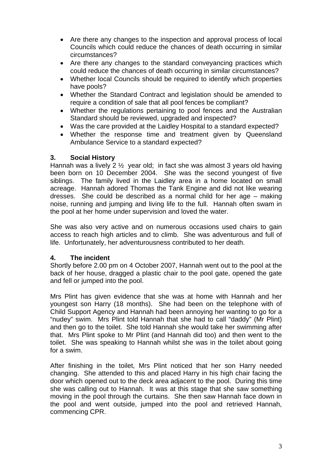- Are there any changes to the inspection and approval process of local Councils which could reduce the chances of death occurring in similar circumstances?
- Are there any changes to the standard conveyancing practices which could reduce the chances of death occurring in similar circumstances?
- Whether local Councils should be required to identify which properties have pools?
- Whether the Standard Contract and legislation should be amended to require a condition of sale that all pool fences be compliant?
- Whether the regulations pertaining to pool fences and the Australian Standard should be reviewed, upgraded and inspected?
- Was the care provided at the Laidley Hospital to a standard expected?
- Whether the response time and treatment given by Queensland Ambulance Service to a standard expected?

#### **3. Social History**

Hannah was a lively 2 ½ year old; in fact she was almost 3 years old having been born on 10 December 2004. She was the second youngest of five siblings. The family lived in the Laidley area in a home located on small acreage. Hannah adored Thomas the Tank Engine and did not like wearing dresses. She could be described as a normal child for her age – making noise, running and jumping and living life to the full. Hannah often swam in the pool at her home under supervision and loved the water.

She was also very active and on numerous occasions used chairs to gain access to reach high articles and to climb. She was adventurous and full of life. Unfortunately, her adventurousness contributed to her death.

# **4. The incident**

Shortly before 2.00 pm on 4 October 2007, Hannah went out to the pool at the back of her house, dragged a plastic chair to the pool gate, opened the gate and fell or jumped into the pool.

Mrs Plint has given evidence that she was at home with Hannah and her youngest son Harry (18 months). She had been on the telephone with of Child Support Agency and Hannah had been annoying her wanting to go for a "nudey" swim. Mrs Plint told Hannah that she had to call "daddy" (Mr Plint) and then go to the toilet. She told Hannah she would take her swimming after that. Mrs Plint spoke to Mr Plint (and Hannah did too) and then went to the toilet. She was speaking to Hannah whilst she was in the toilet about going for a swim.

After finishing in the toilet, Mrs Plint noticed that her son Harry needed changing. She attended to this and placed Harry in his high chair facing the door which opened out to the deck area adjacent to the pool. During this time she was calling out to Hannah. It was at this stage that she saw something moving in the pool through the curtains. She then saw Hannah face down in the pool and went outside, jumped into the pool and retrieved Hannah, commencing CPR.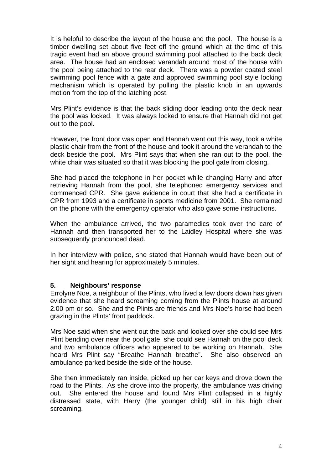It is helpful to describe the layout of the house and the pool. The house is a timber dwelling set about five feet off the ground which at the time of this tragic event had an above ground swimming pool attached to the back deck area. The house had an enclosed verandah around most of the house with the pool being attached to the rear deck. There was a powder coated steel swimming pool fence with a gate and approved swimming pool style locking mechanism which is operated by pulling the plastic knob in an upwards motion from the top of the latching post.

Mrs Plint's evidence is that the back sliding door leading onto the deck near the pool was locked. It was always locked to ensure that Hannah did not get out to the pool.

However, the front door was open and Hannah went out this way, took a white plastic chair from the front of the house and took it around the verandah to the deck beside the pool. Mrs Plint says that when she ran out to the pool, the white chair was situated so that it was blocking the pool gate from closing.

She had placed the telephone in her pocket while changing Harry and after retrieving Hannah from the pool, she telephoned emergency services and commenced CPR. She gave evidence in court that she had a certificate in CPR from 1993 and a certificate in sports medicine from 2001. She remained on the phone with the emergency operator who also gave some instructions.

When the ambulance arrived, the two paramedics took over the care of Hannah and then transported her to the Laidley Hospital where she was subsequently pronounced dead.

In her interview with police, she stated that Hannah would have been out of her sight and hearing for approximately 5 minutes.

#### **5. Neighbours' response**

Errolyne Noe, a neighbour of the Plints, who lived a few doors down has given evidence that she heard screaming coming from the Plints house at around 2.00 pm or so. She and the Plints are friends and Mrs Noe's horse had been grazing in the Plints' front paddock.

Mrs Noe said when she went out the back and looked over she could see Mrs Plint bending over near the pool gate, she could see Hannah on the pool deck and two ambulance officers who appeared to be working on Hannah. She heard Mrs Plint say "Breathe Hannah breathe". She also observed an ambulance parked beside the side of the house.

She then immediately ran inside, picked up her car keys and drove down the road to the Plints. As she drove into the property, the ambulance was driving out. She entered the house and found Mrs Plint collapsed in a highly distressed state, with Harry (the younger child) still in his high chair screaming.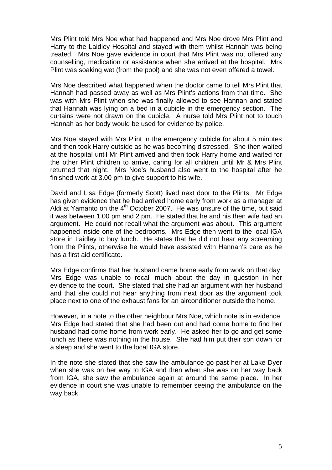Mrs Plint told Mrs Noe what had happened and Mrs Noe drove Mrs Plint and Harry to the Laidley Hospital and stayed with them whilst Hannah was being treated. Mrs Noe gave evidence in court that Mrs Plint was not offered any counselling, medication or assistance when she arrived at the hospital. Mrs Plint was soaking wet (from the pool) and she was not even offered a towel.

Mrs Noe described what happened when the doctor came to tell Mrs Plint that Hannah had passed away as well as Mrs Plint's actions from that time. She was with Mrs Plint when she was finally allowed to see Hannah and stated that Hannah was lying on a bed in a cubicle in the emergency section. The curtains were not drawn on the cubicle. A nurse told Mrs Plint not to touch Hannah as her body would be used for evidence by police.

Mrs Noe stayed with Mrs Plint in the emergency cubicle for about 5 minutes and then took Harry outside as he was becoming distressed. She then waited at the hospital until Mr Plint arrived and then took Harry home and waited for the other Plint children to arrive, caring for all children until Mr & Mrs Plint returned that night. Mrs Noe's husband also went to the hospital after he finished work at 3.00 pm to give support to his wife.

David and Lisa Edge (formerly Scott) lived next door to the Plints. Mr Edge has given evidence that he had arrived home early from work as a manager at Aldi at Yamanto on the  $4<sup>th</sup>$  October 2007. He was unsure of the time, but said it was between 1.00 pm and 2 pm. He stated that he and his then wife had an argument. He could not recall what the argument was about. This argument happened inside one of the bedrooms. Mrs Edge then went to the local IGA store in Laidley to buy lunch. He states that he did not hear any screaming from the Plints, otherwise he would have assisted with Hannah's care as he has a first aid certificate.

Mrs Edge confirms that her husband came home early from work on that day. Mrs Edge was unable to recall much about the day in question in her evidence to the court. She stated that she had an argument with her husband and that she could not hear anything from next door as the argument took place next to one of the exhaust fans for an airconditioner outside the home.

However, in a note to the other neighbour Mrs Noe, which note is in evidence, Mrs Edge had stated that she had been out and had come home to find her husband had come home from work early. He asked her to go and get some lunch as there was nothing in the house. She had him put their son down for a sleep and she went to the local IGA store.

In the note she stated that she saw the ambulance go past her at Lake Dyer when she was on her way to IGA and then when she was on her way back from IGA, she saw the ambulance again at around the same place. In her evidence in court she was unable to remember seeing the ambulance on the way back.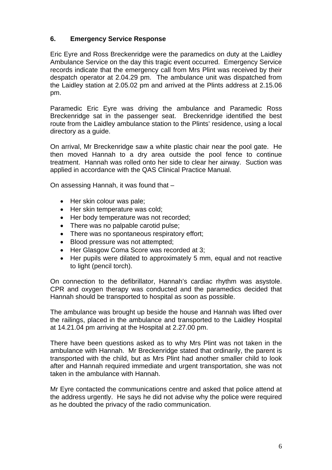# **6. Emergency Service Response**

Eric Eyre and Ross Breckenridge were the paramedics on duty at the Laidley Ambulance Service on the day this tragic event occurred. Emergency Service records indicate that the emergency call from Mrs Plint was received by their despatch operator at 2.04.29 pm. The ambulance unit was dispatched from the Laidley station at 2.05.02 pm and arrived at the Plints address at 2.15.06 pm.

Paramedic Eric Eyre was driving the ambulance and Paramedic Ross Breckenridge sat in the passenger seat. Breckenridge identified the best route from the Laidley ambulance station to the Plints' residence, using a local directory as a guide.

On arrival, Mr Breckenridge saw a white plastic chair near the pool gate. He then moved Hannah to a dry area outside the pool fence to continue treatment. Hannah was rolled onto her side to clear her airway. Suction was applied in accordance with the QAS Clinical Practice Manual.

On assessing Hannah, it was found that –

- Her skin colour was pale:
- Her skin temperature was cold;
- Her body temperature was not recorded;
- There was no palpable carotid pulse;
- There was no spontaneous respiratory effort;
- Blood pressure was not attempted;
- Her Glasgow Coma Score was recorded at 3;
- Her pupils were dilated to approximately 5 mm, equal and not reactive to light (pencil torch).

On connection to the defibrillator, Hannah's cardiac rhythm was asystole. CPR and oxygen therapy was conducted and the paramedics decided that Hannah should be transported to hospital as soon as possible.

The ambulance was brought up beside the house and Hannah was lifted over the railings, placed in the ambulance and transported to the Laidley Hospital at 14.21.04 pm arriving at the Hospital at 2.27.00 pm.

There have been questions asked as to why Mrs Plint was not taken in the ambulance with Hannah. Mr Breckenridge stated that ordinarily, the parent is transported with the child, but as Mrs Plint had another smaller child to look after and Hannah required immediate and urgent transportation, she was not taken in the ambulance with Hannah.

Mr Eyre contacted the communications centre and asked that police attend at the address urgently. He says he did not advise why the police were required as he doubted the privacy of the radio communication.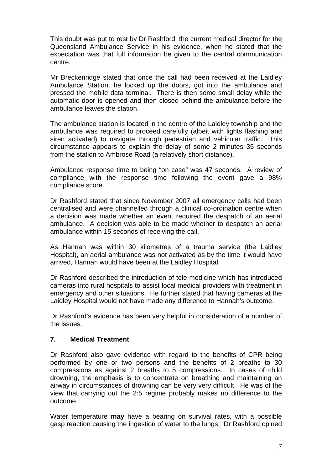This doubt was put to rest by Dr Rashford, the current medical director for the Queensland Ambulance Service in his evidence, when he stated that the expectation was that full information be given to the central communication centre.

Mr Breckenridge stated that once the call had been received at the Laidley Ambulance Station, he locked up the doors, got into the ambulance and pressed the mobile data terminal. There is then some small delay while the automatic door is opened and then closed behind the ambulance before the ambulance leaves the station.

The ambulance station is located in the centre of the Laidley township and the ambulance was required to proceed carefully (albeit with lights flashing and siren activated) to navigate through pedestrian and vehicular traffic. This circumstance appears to explain the delay of some 2 minutes 35 seconds from the station to Ambrose Road (a relatively short distance).

Ambulance response time to being "on case" was 47 seconds. A review of compliance with the response time following the event gave a 98% compliance score.

Dr Rashford stated that since November 2007 all emergency calls had been centralised and were channelled through a clinical co-ordination centre when a decision was made whether an event required the despatch of an aerial ambulance. A decision was able to be made whether to despatch an aerial ambulance within 15 seconds of receiving the call.

As Hannah was within 30 kilometres of a trauma service (the Laidley Hospital), an aerial ambulance was not activated as by the time it would have arrived, Hannah would have been at the Laidley Hospital.

Dr Rashford described the introduction of tele-medicine which has introduced cameras into rural hospitals to assist local medical providers with treatment in emergency and other situations. He further stated that having cameras at the Laidley Hospital would not have made any difference to Hannah's outcome.

Dr Rashford's evidence has been very helpful in consideration of a number of the issues.

# **7. Medical Treatment**

Dr Rashford also gave evidence with regard to the benefits of CPR being performed by one or two persons and the benefits of 2 breaths to 30 compressions as against 2 breaths to 5 compressions. In cases of child drowning, the emphasis is to concentrate on breathing and maintaining an airway in circumstances of drowning can be very very difficult. He was of the view that carrying out the 2:5 regime probably makes no difference to the outcome.

Water temperature **may** have a bearing on survival rates, with a possible gasp reaction causing the ingestion of water to the lungs. Dr Rashford opined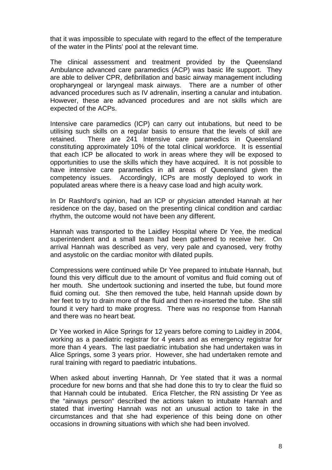that it was impossible to speculate with regard to the effect of the temperature of the water in the Plints' pool at the relevant time.

The clinical assessment and treatment provided by the Queensland Ambulance advanced care paramedics (ACP) was basic life support. They are able to deliver CPR, defibrillation and basic airway management including oropharyngeal or laryngeal mask airways. There are a number of other advanced procedures such as IV adrenalin, inserting a canular and intubation. However, these are advanced procedures and are not skills which are expected of the ACPs.

Intensive care paramedics (ICP) can carry out intubations, but need to be utilising such skills on a regular basis to ensure that the levels of skill are retained. There are 241 Intensive care paramedics in Queensland constituting approximately 10% of the total clinical workforce. It is essential that each ICP be allocated to work in areas where they will be exposed to opportunities to use the skills which they have acquired. It is not possible to have intensive care paramedics in all areas of Queensland given the competency issues. Accordingly, ICPs are mostly deployed to work in populated areas where there is a heavy case load and high acuity work.

In Dr Rashford's opinion, had an ICP or physician attended Hannah at her residence on the day, based on the presenting clinical condition and cardiac rhythm, the outcome would not have been any different.

Hannah was transported to the Laidley Hospital where Dr Yee, the medical superintendent and a small team had been gathered to receive her. On arrival Hannah was described as very, very pale and cyanosed, very frothy and asystolic on the cardiac monitor with dilated pupils.

Compressions were continued while Dr Yee prepared to intubate Hannah, but found this very difficult due to the amount of vomitus and fluid coming out of her mouth. She undertook suctioning and inserted the tube, but found more fluid coming out. She then removed the tube, held Hannah upside down by her feet to try to drain more of the fluid and then re-inserted the tube. She still found it very hard to make progress. There was no response from Hannah and there was no heart beat.

Dr Yee worked in Alice Springs for 12 years before coming to Laidley in 2004, working as a paediatric registrar for 4 years and as emergency registrar for more than 4 years. The last paediatric intubation she had undertaken was in Alice Springs, some 3 years prior. However, she had undertaken remote and rural training with regard to paediatric intubations.

When asked about inverting Hannah, Dr Yee stated that it was a normal procedure for new borns and that she had done this to try to clear the fluid so that Hannah could be intubated. Erica Fletcher, the RN assisting Dr Yee as the "airways person" described the actions taken to intubate Hannah and stated that inverting Hannah was not an unusual action to take in the circumstances and that she had experience of this being done on other occasions in drowning situations with which she had been involved.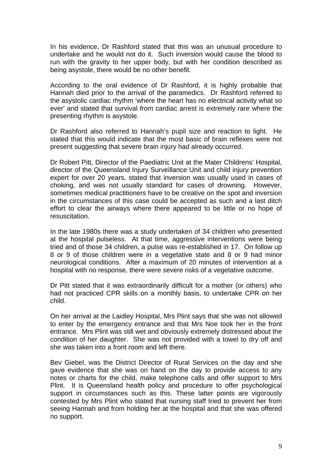In his evidence, Dr Rashford stated that this was an unusual procedure to undertake and he would not do it. Such inversion would cause the blood to run with the gravity to her upper body, but with her condition described as being asystole, there would be no other benefit.

According to the oral evidence of Dr Rashford, it is highly probable that Hannah died prior to the arrival of the paramedics. Dr Rashford referred to the asystolic cardiac rhythm 'where the heart has no electrical activity what so ever' and stated that survival from cardiac arrest is extremely rare where the presenting rhythm is asystole.

Dr Rashford also referred to Hannah's pupil size and reaction to light. He stated that this would indicate that the most basic of brain reflexes were not present suggesting that severe brain injury had already occurred.

Dr Robert Pitt, Director of the Paediatric Unit at the Mater Childrens' Hospital, director of the Queensland Injury Surveillance Unit and child injury prevention expert for over 20 years, stated that inversion was usually used in cases of choking, and was not usually standard for cases of drowning. However, sometimes medical practitioners have to be creative on the spot and inversion in the circumstances of this case could be accepted as such and a last ditch effort to clear the airways where there appeared to be little or no hope of resuscitation.

In the late 1980s there was a study undertaken of 34 children who presented at the hospital pulseless. At that time, aggressive interventions were being tried and of those 34 children, a pulse was re-established in 17. On follow up 8 or 9 of those children were in a vegetative state and 8 or 9 had minor neurological conditions. After a maximum of 20 minutes of intervention at a hospital with no response, there were severe risks of a vegetative outcome.

Dr Pitt stated that it was extraordinarily difficult for a mother (or others) who had not practiced CPR skills on a monthly basis, to undertake CPR on her child.

On her arrival at the Laidley Hospital, Mrs Plint says that she was not allowed to enter by the emergency entrance and that Mrs Noe took her in the front entrance. Mrs Plint was still wet and obviously extremely distressed about the condition of her daughter. She was not provided with a towel to dry off and she was taken into a front room and left there.

Bev Giebel, was the District Director of Rural Services on the day and she gave evidence that she was on hand on the day to provide access to any notes or charts for the child, make telephone calls and offer support to Mrs Plint. It is Queensland health policy and procedure to offer psychological support in circumstances such as this. These latter points are vigorously contested by Mrs Plint who stated that nursing staff tried to prevent her from seeing Hannah and from holding her at the hospital and that she was offered no support.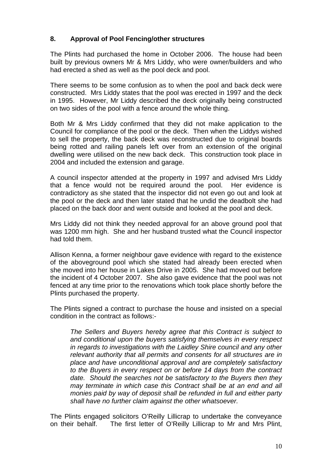# **8. Approval of Pool Fencing/other structures**

The Plints had purchased the home in October 2006. The house had been built by previous owners Mr & Mrs Liddy, who were owner/builders and who had erected a shed as well as the pool deck and pool.

There seems to be some confusion as to when the pool and back deck were constructed. Mrs Liddy states that the pool was erected in 1997 and the deck in 1995. However, Mr Liddy described the deck originally being constructed on two sides of the pool with a fence around the whole thing.

Both Mr & Mrs Liddy confirmed that they did not make application to the Council for compliance of the pool or the deck. Then when the Liddys wished to sell the property, the back deck was reconstructed due to original boards being rotted and railing panels left over from an extension of the original dwelling were utilised on the new back deck. This construction took place in 2004 and included the extension and garage.

A council inspector attended at the property in 1997 and advised Mrs Liddy that a fence would not be required around the pool. Her evidence is contradictory as she stated that the inspector did not even go out and look at the pool or the deck and then later stated that he undid the deadbolt she had placed on the back door and went outside and looked at the pool and deck.

Mrs Liddy did not think they needed approval for an above ground pool that was 1200 mm high. She and her husband trusted what the Council inspector had told them.

Allison Kenna, a former neighbour gave evidence with regard to the existence of the aboveground pool which she stated had already been erected when she moved into her house in Lakes Drive in 2005. She had moved out before the incident of 4 October 2007. She also gave evidence that the pool was not fenced at any time prior to the renovations which took place shortly before the Plints purchased the property.

The Plints signed a contract to purchase the house and insisted on a special condition in the contract as follows:-

*The Sellers and Buyers hereby agree that this Contract is subject to and conditional upon the buyers satisfying themselves in every respect in regards to investigations with the Laidley Shire council and any other relevant authority that all permits and consents for all structures are in place and have unconditional approval and are completely satisfactory to the Buyers in every respect on or before 14 days from the contract date. Should the searches not be satisfactory to the Buyers then they may terminate in which case this Contract shall be at an end and all monies paid by way of deposit shall be refunded in full and either party shall have no further claim against the other whatsoever.* 

The Plints engaged solicitors O'Reilly Lillicrap to undertake the conveyance on their behalf. The first letter of O'Reilly Lillicrap to Mr and Mrs Plint,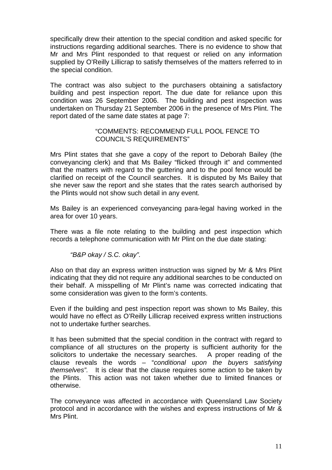specifically drew their attention to the special condition and asked specific for instructions regarding additional searches. There is no evidence to show that Mr and Mrs Plint responded to that request or relied on any information supplied by O'Reilly Lillicrap to satisfy themselves of the matters referred to in the special condition.

The contract was also subject to the purchasers obtaining a satisfactory building and pest inspection report. The due date for reliance upon this condition was 26 September 2006. The building and pest inspection was undertaken on Thursday 21 September 2006 in the presence of Mrs Plint. The report dated of the same date states at page 7:

#### "COMMENTS: RECOMMEND FULL POOL FENCE TO COUNCIL'S REQUIREMENTS"

Mrs Plint states that she gave a copy of the report to Deborah Bailey (the conveyancing clerk) and that Ms Bailey "flicked through it" and commented that the matters with regard to the guttering and to the pool fence would be clarified on receipt of the Council searches. It is disputed by Ms Bailey that she never saw the report and she states that the rates search authorised by the Plints would not show such detail in any event.

Ms Bailey is an experienced conveyancing para-legal having worked in the area for over 10 years.

There was a file note relating to the building and pest inspection which records a telephone communication with Mr Plint on the due date stating:

*"B&P okay / S.C. okay".* 

Also on that day an express written instruction was signed by Mr & Mrs Plint indicating that they did not require any additional searches to be conducted on their behalf. A misspelling of Mr Plint's name was corrected indicating that some consideration was given to the form's contents.

Even if the building and pest inspection report was shown to Ms Bailey, this would have no effect as O'Reilly Lillicrap received express written instructions not to undertake further searches.

It has been submitted that the special condition in the contract with regard to compliance of all structures on the property is sufficient authority for the solicitors to undertake the necessary searches. A proper reading of the clause reveals the words – "*conditional upon the buyers satisfying themselves".* It is clear that the clause requires some action to be taken by the Plints. This action was not taken whether due to limited finances or otherwise.

The conveyance was affected in accordance with Queensland Law Society protocol and in accordance with the wishes and express instructions of Mr & Mrs Plint.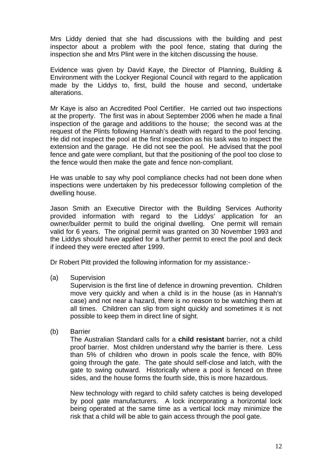Mrs Liddy denied that she had discussions with the building and pest inspector about a problem with the pool fence, stating that during the inspection she and Mrs Plint were in the kitchen discussing the house.

Evidence was given by David Kaye, the Director of Planning, Building & Environment with the Lockyer Regional Council with regard to the application made by the Liddys to, first, build the house and second, undertake alterations.

Mr Kaye is also an Accredited Pool Certifier. He carried out two inspections at the property. The first was in about September 2006 when he made a final inspection of the garage and additions to the house; the second was at the request of the Plints following Hannah's death with regard to the pool fencing. He did not inspect the pool at the first inspection as his task was to inspect the extension and the garage. He did not see the pool. He advised that the pool fence and gate were compliant, but that the positioning of the pool too close to the fence would then make the gate and fence non-compliant.

He was unable to say why pool compliance checks had not been done when inspections were undertaken by his predecessor following completion of the dwelling house.

Jason Smith an Executive Director with the Building Services Authority provided information with regard to the Liddys' application for an owner/builder permit to build the original dwelling. One permit will remain valid for 6 years. The original permit was granted on 30 November 1993 and the Liddys should have applied for a further permit to erect the pool and deck if indeed they were erected after 1999.

Dr Robert Pitt provided the following information for my assistance:-

(a) Supervision

Supervision is the first line of defence in drowning prevention. Children move very quickly and when a child is in the house (as in Hannah's case) and not near a hazard, there is no reason to be watching them at all times. Children can slip from sight quickly and sometimes it is not possible to keep them in direct line of sight.

(b) Barrier

The Australian Standard calls for a **child resistant** barrier, not a child proof barrier. Most children understand why the barrier is there. Less than 5% of children who drown in pools scale the fence, with 80% going through the gate. The gate should self-close and latch, with the gate to swing outward. Historically where a pool is fenced on three sides, and the house forms the fourth side, this is more hazardous.

New technology with regard to child safety catches is being developed by pool gate manufacturers. A lock incorporating a horizontal lock being operated at the same time as a vertical lock may minimize the risk that a child will be able to gain access through the pool gate.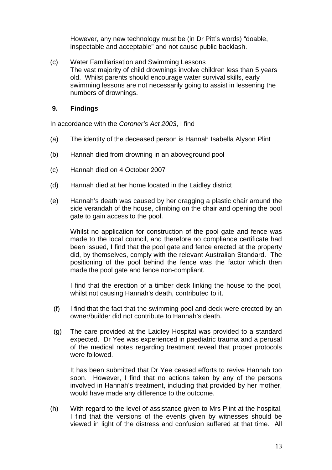However, any new technology must be (in Dr Pitt's words) "doable, inspectable and acceptable" and not cause public backlash.

(c) Water Familiarisation and Swimming Lessons The vast majority of child drownings involve children less than 5 years old. Whilst parents should encourage water survival skills, early swimming lessons are not necessarily going to assist in lessening the numbers of drownings.

#### **9. Findings**

In accordance with the *Coroner's Act 2003*, I find

- (a) The identity of the deceased person is Hannah Isabella Alyson Plint
- (b) Hannah died from drowning in an aboveground pool
- (c) Hannah died on 4 October 2007
- (d) Hannah died at her home located in the Laidley district
- (e) Hannah's death was caused by her dragging a plastic chair around the side verandah of the house, climbing on the chair and opening the pool gate to gain access to the pool.

Whilst no application for construction of the pool gate and fence was made to the local council, and therefore no compliance certificate had been issued, I find that the pool gate and fence erected at the property did, by themselves, comply with the relevant Australian Standard. The positioning of the pool behind the fence was the factor which then made the pool gate and fence non-compliant.

I find that the erection of a timber deck linking the house to the pool, whilst not causing Hannah's death, contributed to it.

- (f) I find that the fact that the swimming pool and deck were erected by an owner/builder did not contribute to Hannah's death.
- (g) The care provided at the Laidley Hospital was provided to a standard expected. Dr Yee was experienced in paediatric trauma and a perusal of the medical notes regarding treatment reveal that proper protocols were followed.

It has been submitted that Dr Yee ceased efforts to revive Hannah too soon. However, I find that no actions taken by any of the persons involved in Hannah's treatment, including that provided by her mother, would have made any difference to the outcome.

(h) With regard to the level of assistance given to Mrs Plint at the hospital, I find that the versions of the events given by witnesses should be viewed in light of the distress and confusion suffered at that time. All